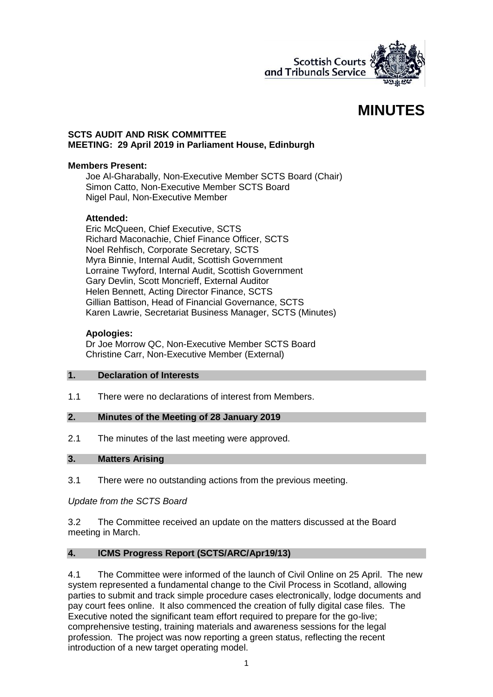

# **MINUTES**

#### **SCTS AUDIT AND RISK COMMITTEE MEETING: 29 April 2019 in Parliament House, Edinburgh**

#### **Members Present:**

Joe Al-Gharabally, Non-Executive Member SCTS Board (Chair) Simon Catto, Non-Executive Member SCTS Board Nigel Paul, Non-Executive Member

# **Attended:**

Eric McQueen, Chief Executive, SCTS Richard Maconachie, Chief Finance Officer, SCTS Noel Rehfisch, Corporate Secretary, SCTS Myra Binnie, Internal Audit, Scottish Government Lorraine Twyford, Internal Audit, Scottish Government Gary Devlin, Scott Moncrieff, External Auditor Helen Bennett, Acting Director Finance, SCTS Gillian Battison, Head of Financial Governance, SCTS Karen Lawrie, Secretariat Business Manager, SCTS (Minutes)

#### **Apologies:**

Dr Joe Morrow QC, Non-Executive Member SCTS Board Christine Carr, Non-Executive Member (External)

#### **1. Declaration of Interests**

1.1 There were no declarations of interest from Members.

# **2. Minutes of the Meeting of 28 January 2019**

2.1 The minutes of the last meeting were approved.

# **3. Matters Arising**

3.1 There were no outstanding actions from the previous meeting.

# *Update from the SCTS Board*

3.2 The Committee received an update on the matters discussed at the Board meeting in March.

# **4. ICMS Progress Report (SCTS/ARC/Apr19/13)**

4.1 The Committee were informed of the launch of Civil Online on 25 April. The new system represented a fundamental change to the Civil Process in Scotland, allowing parties to submit and track simple procedure cases electronically, lodge documents and pay court fees online. It also commenced the creation of fully digital case files. The Executive noted the significant team effort required to prepare for the go-live; comprehensive testing, training materials and awareness sessions for the legal profession. The project was now reporting a green status, reflecting the recent introduction of a new target operating model.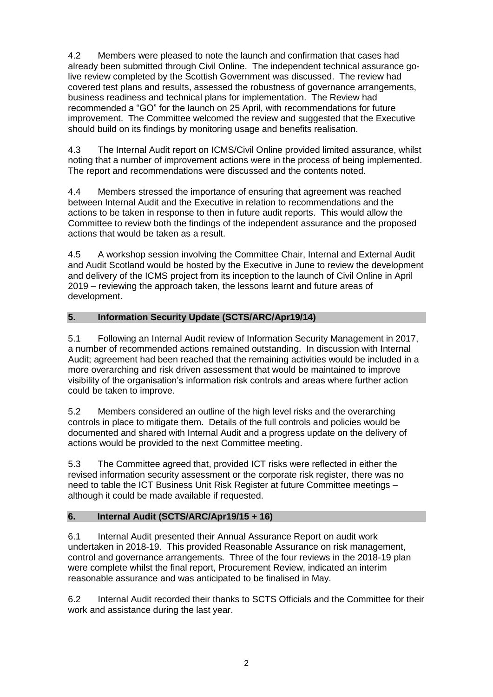4.2 Members were pleased to note the launch and confirmation that cases had already been submitted through Civil Online. The independent technical assurance golive review completed by the Scottish Government was discussed. The review had covered test plans and results, assessed the robustness of governance arrangements, business readiness and technical plans for implementation. The Review had recommended a "GO" for the launch on 25 April, with recommendations for future improvement. The Committee welcomed the review and suggested that the Executive should build on its findings by monitoring usage and benefits realisation.

4.3 The Internal Audit report on ICMS/Civil Online provided limited assurance, whilst noting that a number of improvement actions were in the process of being implemented. The report and recommendations were discussed and the contents noted.

4.4 Members stressed the importance of ensuring that agreement was reached between Internal Audit and the Executive in relation to recommendations and the actions to be taken in response to then in future audit reports. This would allow the Committee to review both the findings of the independent assurance and the proposed actions that would be taken as a result.

4.5 A workshop session involving the Committee Chair, Internal and External Audit and Audit Scotland would be hosted by the Executive in June to review the development and delivery of the ICMS project from its inception to the launch of Civil Online in April 2019 – reviewing the approach taken, the lessons learnt and future areas of development.

# **5. Information Security Update (SCTS/ARC/Apr19/14)**

5.1 Following an Internal Audit review of Information Security Management in 2017, a number of recommended actions remained outstanding. In discussion with Internal Audit; agreement had been reached that the remaining activities would be included in a more overarching and risk driven assessment that would be maintained to improve visibility of the organisation's information risk controls and areas where further action could be taken to improve.

5.2 Members considered an outline of the high level risks and the overarching controls in place to mitigate them. Details of the full controls and policies would be documented and shared with Internal Audit and a progress update on the delivery of actions would be provided to the next Committee meeting.

5.3 The Committee agreed that, provided ICT risks were reflected in either the revised information security assessment or the corporate risk register, there was no need to table the ICT Business Unit Risk Register at future Committee meetings – although it could be made available if requested.

# **6. Internal Audit (SCTS/ARC/Apr19/15 + 16)**

6.1 Internal Audit presented their Annual Assurance Report on audit work undertaken in 2018-19. This provided Reasonable Assurance on risk management, control and governance arrangements. Three of the four reviews in the 2018-19 plan were complete whilst the final report, Procurement Review, indicated an interim reasonable assurance and was anticipated to be finalised in May.

6.2 Internal Audit recorded their thanks to SCTS Officials and the Committee for their work and assistance during the last year.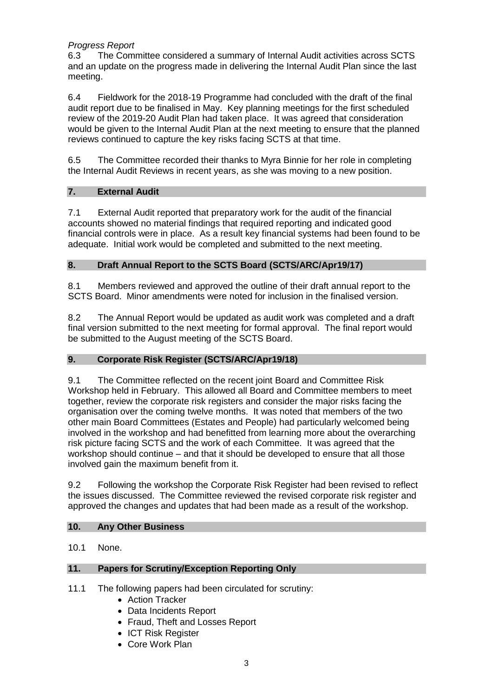# *Progress Report*

6.3 The Committee considered a summary of Internal Audit activities across SCTS and an update on the progress made in delivering the Internal Audit Plan since the last meeting.

6.4 Fieldwork for the 2018-19 Programme had concluded with the draft of the final audit report due to be finalised in May. Key planning meetings for the first scheduled review of the 2019-20 Audit Plan had taken place. It was agreed that consideration would be given to the Internal Audit Plan at the next meeting to ensure that the planned reviews continued to capture the key risks facing SCTS at that time.

6.5 The Committee recorded their thanks to Myra Binnie for her role in completing the Internal Audit Reviews in recent years, as she was moving to a new position.

# **7. External Audit**

7.1 External Audit reported that preparatory work for the audit of the financial accounts showed no material findings that required reporting and indicated good financial controls were in place. As a result key financial systems had been found to be adequate. Initial work would be completed and submitted to the next meeting.

# **8. Draft Annual Report to the SCTS Board (SCTS/ARC/Apr19/17)**

8.1 Members reviewed and approved the outline of their draft annual report to the SCTS Board. Minor amendments were noted for inclusion in the finalised version.

8.2 The Annual Report would be updated as audit work was completed and a draft final version submitted to the next meeting for formal approval. The final report would be submitted to the August meeting of the SCTS Board.

# **9. Corporate Risk Register (SCTS/ARC/Apr19/18)**

9.1 The Committee reflected on the recent joint Board and Committee Risk Workshop held in February. This allowed all Board and Committee members to meet together, review the corporate risk registers and consider the major risks facing the organisation over the coming twelve months. It was noted that members of the two other main Board Committees (Estates and People) had particularly welcomed being involved in the workshop and had benefitted from learning more about the overarching risk picture facing SCTS and the work of each Committee. It was agreed that the workshop should continue – and that it should be developed to ensure that all those involved gain the maximum benefit from it.

9.2 Following the workshop the Corporate Risk Register had been revised to reflect the issues discussed. The Committee reviewed the revised corporate risk register and approved the changes and updates that had been made as a result of the workshop.

# **10. Any Other Business**

10.1 None.

# **11. Papers for Scrutiny/Exception Reporting Only**

- 11.1 The following papers had been circulated for scrutiny:
	- Action Tracker
	- Data Incidents Report
	- Fraud, Theft and Losses Report
	- ICT Risk Register
	- Core Work Plan